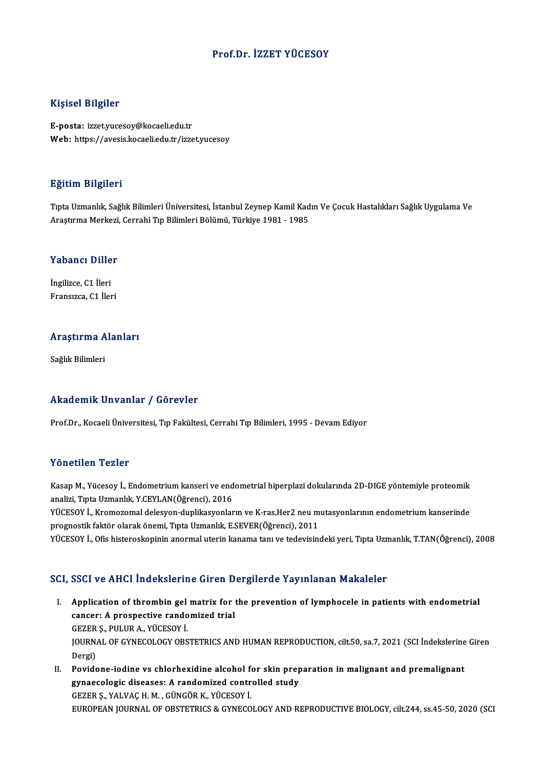### Prof.Dr. İZZET YÜCESOY

#### Kişisel Bilgiler

E-posta: izzet.yucesoy@kocaeli.edu.tr Web: https://avesis.kocaeli.edu.tr/izzet.yucesoy

#### Eğitim Bilgileri

E<mark>ğitim Bilgileri</mark><br>Tıpta Uzmanlık, Sağlık Bilimleri Üniversitesi, İstanbul Zeynep Kamil Kadın Ve Çocuk Hastalıkları Sağlık Uygulama Ve<br>Arastırma Markari, Corrabi Tın Bilimleri Bölümü, Türkiye 1981, 1985 Aştum Dirşirori<br>Tıpta Uzmanlık, Sağlık Bilimleri Üniversitesi, İstanbul Zeynep Kamil Kad<br>Araştırma Merkezi, Cerrahi Tıp Bilimleri Bölümü, Türkiye 1981 - 1985

# Araşurma merkezi,<br>Yabancı Diller

**Yabancı Dille<br>İngilizce, C1 İleri<br>Fransızce, C1 İler** İngilizce, C1 İleri<br>Fransızca, C1 İleri

## rransızca, C1 ileri<br>Araştırma Alanları <mark>Araştırma A</mark><br>Sağlık Bilimleri

# Akademik Unvanlar / Görevler

Prof.Dr., Kocaeli Üniversitesi, Tıp Fakültesi, Cerrahi Tıp Bilimleri, 1995 - Devam Ediyor

#### Yönetilen Tezler

Yönetilen Tezler<br>Kasap M., Yücesoy İ., Endometrium kanseri ve endometrial hiperplazi dokularında 2D-DIGE yöntemiyle proteomik<br>analiri Turk Urmanlık Y.CEVI AN(Öğrenci), 2016 1 SHSEHSH 1 SHSI<br>Kasap M., Yücesoy İ., Endometrium kanseri ve end<br>analizi, Tıpta Uzmanlık, Y.CEYLAN(Öğrenci), 2016<br>VÜCESOV İ. Kromeremel delesyon dunlikesyonlar Kasap M., Yücesoy İ., Endometrium kanseri ve endometrial hiperplazi dokularında 2D-DIGE yöntemiyle proteomik<br>analizi, Tıpta Uzmanlık, Y.CEYLAN(Öğrenci), 2016<br>YÜCESOY İ., Kromozomal delesyon-duplikasyonların ve K-ras,Her2 n

analizi, Tıpta Uzmanlık, Y.CEYLAN(Öğrenci), 2016<br>YÜCESOY İ., Kromozomal delesyon-duplikasyonların ve K-ras,Her2 neu m<br>prognostik faktör olarak önemi, Tıpta Uzmanlık, E.SEVER(Öğrenci), 2011<br>VÜCESOV İ. Ofis bistanaskanlının

prognostik faktör olarak önemi, Tıpta Uzmanlık, E.SEVER(Öğrenci), 2011<br>YÜCESOY İ., Ofis histeroskopinin anormal uterin kanama tanı ve tedevisindeki yeri, Tıpta Uzmanlık, T.TAN(Öğrenci), 2008

#### SCI, SSCI ve AHCI İndekslerine Giren Dergilerde Yayınlanan Makaleler

- I. Application of thrombin gelmatrix for the prevention of lymphocele in patients with endometrial Application of thrombin gel matrix for<br>cancer: A prospective randomized trial<br>CEZER S, BIH HR A, VÜCESOV İ Application of thrombin gel<br>cancer: A prospective rando<br>GEZER Ş., PULUR A., YÜCESOY İ.<br>JOUPNAL OF CYNECOLOCY OPS JOURNAL OF GYNECOLOGY OBSTETRICS AND HUMAN REPRODUCTION, cilt.50, sa.7, 2021 (SCI İndekslerine Giren<br>Dergi) GEZER S., PULUR A., YÜCESOY İ. I . JOURNAL OF GYNECOLOGY OBSTETRICS AND HUMAN REPRODUCTION, cilt.50, sa.7, 2021 (SCI indekslerine<br>Dergi)<br>II. Povidone-iodine vs chlorhexidine alcohol for skin preparation in malignant and premalignant<br>
sure assolatie dise
- Dergi)<br>Povidone-iodine vs chlorhexidine alcohol for skin prep<br>gynaecologic diseases: A randomized controlled study<br>CEZER S, VALVAC H M. GÜNCÖR K, VÜCESOV İ Povidone-iodine vs chlorhexidine alcohol f<br>gynaecologic diseases: A randomized contr<br>GEZER Ş., YALVAÇ H. M. , GÜNGÖR K., YÜCESOY İ.<br>FUROPEAN JOURNAL OF OBSTETRICS & CYNECO gynaecologic diseases: A randomized controlled study<br>GEZER Ş., YALVAÇ H. M. , GÜNGÖR K., YÜCESOY İ.<br>EUROPEAN JOURNAL OF OBSTETRICS & GYNECOLOGY AND REPRODUCTIVE BIOLOGY, cilt.244, ss.45-50, 2020 (SCI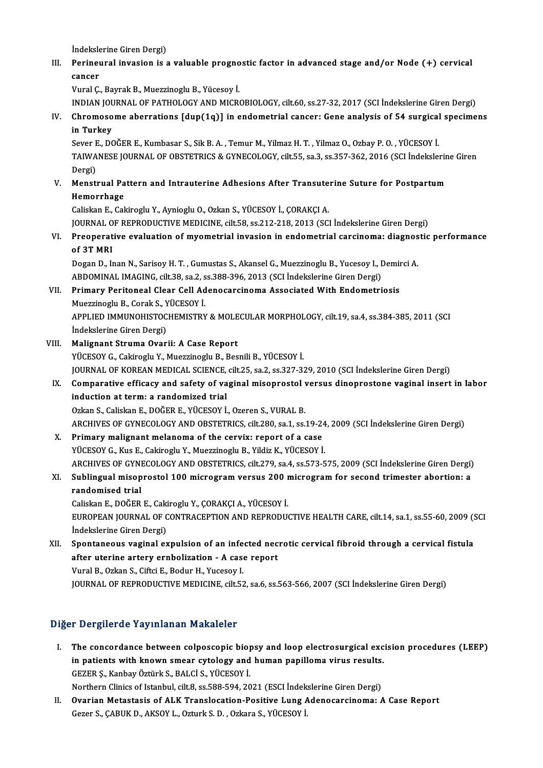İndekslerine Giren Dergi)

Indekslerine Giren Dergi)<br>III. Perineural invasion is a valuable prognostic factor in advanced stage and/or Node (+) cervical İndeksle<br>Perineu<br>cancer<br><sup>Vunal C</sup>

cancer<br>Vural Ç., Bayrak B., Muezzinoglu B., Yücesoy İ.

cancer<br>Vural Ç., Bayrak B., Muezzinoglu B., Yücesoy İ.<br>INDIAN JOURNAL OF PATHOLOGY AND MICROBIOLOGY, cilt.60, ss.27-32, 2017 (SCI İndekslerine Giren Dergi)<br>Chromosome aberrations [dun(19)] in endemetrial sanser: Cene analy

Vural Ç., Bayrak B., Muezzinoglu B., Yücesoy İ.<br>INDIAN JOURNAL OF PATHOLOGY AND MICROBIOLOGY, cilt.60, ss.27-32, 2017 (SCI İndekslerine Giren Dergi)<br>IV. Chromosome aberrations [dup(1q)] in endometrial cancer: Gene anal INDIAN JOU<br>Chromoso<br>in Turkey<br>Sover E. DO Chromosome aberrations [dup(1q)] in endometrial cancer: Gene analysis of 54 surgical<br>in Turkey<br>Sever E., DOĞER E., Kumbasar S., Sik B.A. , Temur M., Yilmaz H.T. , Yilmaz O., Ozbay P. O. , YÜCESOY İ.<br>TAIWANESE JOUPNAL OF OP

in Turkey<br>Sever E., DOĞER E., Kumbasar S., Sik B. A. , Temur M., Yilmaz H. T. , Yilmaz O., Ozbay P. O. , YÜCESOY İ.<br>TAIWANESE JOURNAL OF OBSTETRICS & GYNECOLOGY, cilt.55, sa.3, ss.357-362, 2016 (SCI İndekslerine Giren<br>Derg Sever <mark>F</mark><br>TAIWA<br>Dergi)<br>Monsti TAIWANESE JOURNAL OF OBSTETRICS & GYNECOLOGY, cilt.55, sa.3, ss.357-362, 2016 (SCI İndekslerin<br>Dergi)<br>V. Menstrual Pattern and Intrauterine Adhesions After Transuterine Suture for Postpartum<br>Hemorrhage

## Dergi)<br>Menstrual Pa<br>Hemorrhage<br>Celiskan E-Cel Menstrual Pattern and Intrauterine Adhesions After Transute<br>Hemorrhage<br>Caliskan E., Cakiroglu Y., Aynioglu O., Ozkan S., YÜCESOY İ., ÇORAKÇI A.<br>JOURNAL OE REPRODUCTIVE MEDICINE .sil: E8, 28.212.219.2012.(SC)

Hemorrhage<br>Caliskan E., Cakiroglu Y., Aynioglu O., Ozkan S., YÜCESOY İ., ÇORAKÇI A.<br>JOURNAL OF REPRODUCTIVE MEDICINE, cilt.58, ss.212-218, 2013 (SCI İndekslerine Giren Dergi)<br>Preenerative evaluation of muometrial invesion

Caliskan E., Cakiroglu Y., Aynioglu O., Ozkan S., YÜCESOY İ., ÇORAKÇI A.<br>JOURNAL OF REPRODUCTIVE MEDICINE, cilt.58, ss.212-218, 2013 (SCI İndekslerine Giren Dergi)<br>VI. Preoperative evaluation of myometrial invasion in endo JOURNAL O<br>Preoperat<br>of 3T MRI<br>Desen D. In Preoperative evaluation of myometrial invasion in endometrial carcinoma: diagnos<br>of 3T MRI<br>Dogan D., Inan N., Sarisoy H. T. , Gumustas S., Akansel G., Muezzinoglu B., Yucesoy I., Demirci A.<br>APDOMINAL IMAGING silt 29, 82,2,

of 3T MRI<br>Dogan D., Inan N., Sarisoy H. T. , Gumustas S., Akansel G., Muezzinoglu B., Yucesoy I., Demirci A.<br>ABDOMINAL IMAGING, cilt.38, sa.2, ss.388-396, 2013 (SCI İndekslerine Giren Dergi)

VII. Primary Peritoneal Clear Cell Adenocarcinoma Associated With Endometriosis Muezzinoglu B., Corak S., YÜCESOY İ.

Primary Peritoneal Clear Cell Adenocarcinoma Associated With Endometriosis<br>Muezzinoglu B., Corak S., YÜCESOY İ.<br>APPLIED IMMUNOHISTOCHEMISTRY & MOLECULAR MORPHOLOGY, cilt.19, sa.4, ss.384-385, 2011 (SCI<br>İndekslerine Ciren D Muezzinoglu B., Corak S., Y<br>APPLIED IMMUNOHISTOC<br>İndekslerine Giren Dergi)<br>Malianant Struma Quar APPLIED IMMUNOHISTOCHEMISTRY & MOLE<br>
indekslerine Giren Dergi)<br>
VIII. Malignant Struma Ovarii: A Case Report<br>
viicesov C. Cakinaghu V. Muerginaghu B. Bes

- İndekslerine Giren Dergi)<br>VIII. Malignant Struma Ovarii: A Case Report<br>YÜCESOY G., Cakiroglu Y., Muezzinoglu B., Besnili B., YÜCESOY İ. Malignant Struma Ovarii: A Case Report<br>YÜCESOY G., Cakiroglu Y., Muezzinoglu B., Besnili B., YÜCESOY İ.<br>JOURNAL OF KOREAN MEDICAL SCIENCE, cilt.25, sa.2, ss.327-329, 2010 (SCI İndekslerine Giren Dergi)<br>Comparative efficesy YÜCESOY G., Cakiroglu Y., Muezzinoglu B., Besnili B., YÜCESOY İ.<br>JOURNAL OF KOREAN MEDICAL SCIENCE, cilt.25, sa.2, ss.327-329, 2010 (SCI İndekslerine Giren Dergi)<br>IX. Comparative efficacy and safety of vaginal misoprostol
	- JOURNAL OF KOREAN MEDICAL SCIENCE,<br>Comparative efficacy and safety of va<br>induction at term: a randomized trial IX. Comparative efficacy and safety of vaginal misoprostol versus dinoprostone vaginal insert in labor induction at term: a randomized trial<br>Ozkan S., Caliskan E., DOĞER E., YÜCESOY İ., Ozeren S., VURAL B. induction at term: a randomized trial<br>Ozkan S., Caliskan E., DOĞER E., YÜCESOY İ., Ozeren S., VURAL B.<br>ARCHIVES OF GYNECOLOGY AND OBSTETRICS, cilt.280, sa.1, ss.19-24, 2009 (SCI İndekslerine Giren Dergi)<br>Primany malignant

Ozkan S., Caliskan E., DOĞER E., YÜCESOY İ., Ozeren S., VURAL B.<br>ARCHIVES OF GYNECOLOGY AND OBSTETRICS, cilt.280, sa.1, ss.19-24<br>X. Primary malignant melanoma of the cervix: report of a case<br>VÜCESOV G. Kus E. Coltinogly V. ARCHIVES OF GYNECOLOGY AND OBSTETRICS, cilt.280, sa.1, ss.19-24<br>Primary malignant melanoma of the cervix: report of a case<br>YÜCESOY G., Kus E., Cakiroglu Y., Muezzinoglu B., Yildiz K., YÜCESOY İ.<br>ARCHIVES OF CYNECOLOCY AND Primary malignant melanoma of the cervix: report of a case<br>YÜCESOY G., Kus E., Cakiroglu Y., Muezzinoglu B., Yildiz K., YÜCESOY İ.<br>ARCHIVES OF GYNECOLOGY AND OBSTETRICS, cilt.279, sa.4, ss.573-575, 2009 (SCI İndekslerine G

### YÜCESOY G., Kus E., Cakiroglu Y., Muezzinoglu B., Yildiz K., YÜCESOY İ.<br>ARCHIVES OF GYNECOLOGY AND OBSTETRICS, cilt.279, sa.4, ss.573-575, 2009 (SCI İndekslerine Giren Dergi)<br>XI. Sublingual misoprostol 100 microgram versus ARCHIVES OF GYN<br><mark>Sublingual misop</mark><br>randomised trial<br>Colislian E. DOČEP Sublingual misoprostol 100 microgram versus 200 m<br>randomised trial<br>Caliskan E., DOĞER E., Cakiroglu Y., ÇORAKÇI A., YÜCESOY İ.<br>EUROPEAN JOURNAL OE CONTRACERTION AND REPRODU

randomised trial<br>Caliskan E., DOĞER E., Cakiroglu Y., ÇORAKÇI A., YÜCESOY İ.<br>EUROPEAN JOURNAL OF CONTRACEPTION AND REPRODUCTIVE HEALTH CARE, cilt.14, sa.1, ss.55-60, 2009 (SCI<br>İndekslerine Giren Dergi) Caliskan E., DOĞER E., Caki<br>EUROPEAN JOURNAL OF C<br>İndekslerine Giren Dergi)<br>Spontanoous vaginal oy EUROPEAN JOURNAL OF CONTRACEPTION AND REPRODUCTIVE HEALTH CARE, cilt.14, sa.1, ss.55-60, 2009 (<br>
indekslerine Giren Dergi)<br>
XII. Spontaneous vaginal expulsion of an infected necrotic cervical fibroid through a cervical fis

Indekslerine Giren Dergi)<br>Spontaneous vaginal expulsion of an infected nec<br>after uterine artery ernbolization - A case report<br>Vural B. Orkan S. Giftei E. Bodur H. Vucceau L Spontaneous vaginal expulsion of an infe<br>after uterine artery ernbolization - A case<br>Vural B., Ozkan S., Ciftci E., Bodur H., Yucesoy I.<br>JOUPNAL OF PEPPODUCTIVE MEDICINE cilt E3 after uterine artery ernbolization - A case report<br>Vural B., Ozkan S., Ciftci E., Bodur H., Yucesoy I.<br>JOURNAL OF REPRODUCTIVE MEDICINE, cilt.52, sa.6, ss.563-566, 2007 (SCI İndekslerine Giren Dergi)

### Diğer Dergilerde Yayınlanan Makaleler

I. The concordance between colposcopic biopsy and loop electrosurgical excision procedures (LEEP) in patients and they intended transferred to be allocated the concordance between colposcopic biopsy and loop electrosurgical exc<br>in patients with known smear cytology and human papilloma virus results.<br>CEZER S. Kanbay Ött The concordance between colposcopic biop<br>in patients with known smear cytology and<br>GEZER Ş., Kanbay Öztürk S., BALCİ S., YÜCESOY İ.<br>Northarn Clinics of Istanbul silt 8. ss E89, E94, 20 in patients with known smear cytology and human papilloma virus results.<br>GEZER Ş., Kanbay Öztürk S., BALCİ S., YÜCESOY İ.<br>Northern Clinics of Istanbul, cilt.8, ss.588-594, 2021 (ESCI İndekslerine Giren Dergi)<br>Qyanian Matas

GEZER Ş., Kanbay Öztürk S., BALCİ S., YÜCESOY İ.<br>Northern Clinics of Istanbul, cilt.8, ss.588-594, 2021 (ESCI İndekslerine Giren Dergi)<br>II. Ovarian Metastasis of ALK Translocation-Positive Lung Adenocarcinoma: A Case R Northern Clinics of Istanbul, cilt.8, ss.588-594, 2021 (ESCI İndek<br><mark>Ovarian Metastasis of ALK Translocation-Positive Lung *f*<br>Gezer S., ÇABUK D., AKSOY L., Ozturk S. D. , Ozkara S., YÜCESOY İ.</mark>